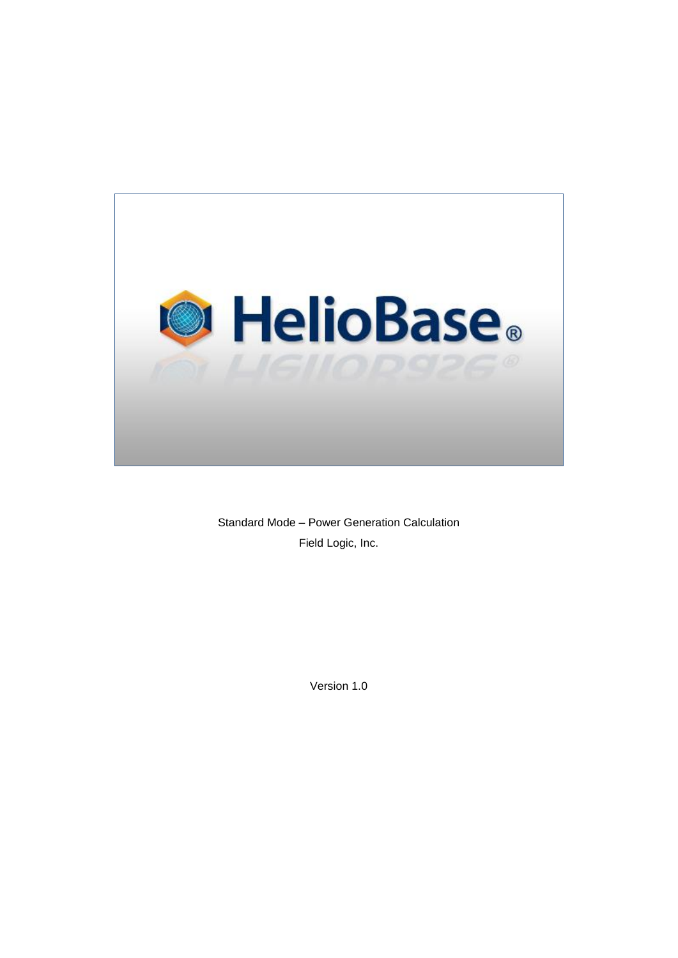

Standard Mode – Power Generation Calculation Field Logic, Inc.

Version 1.0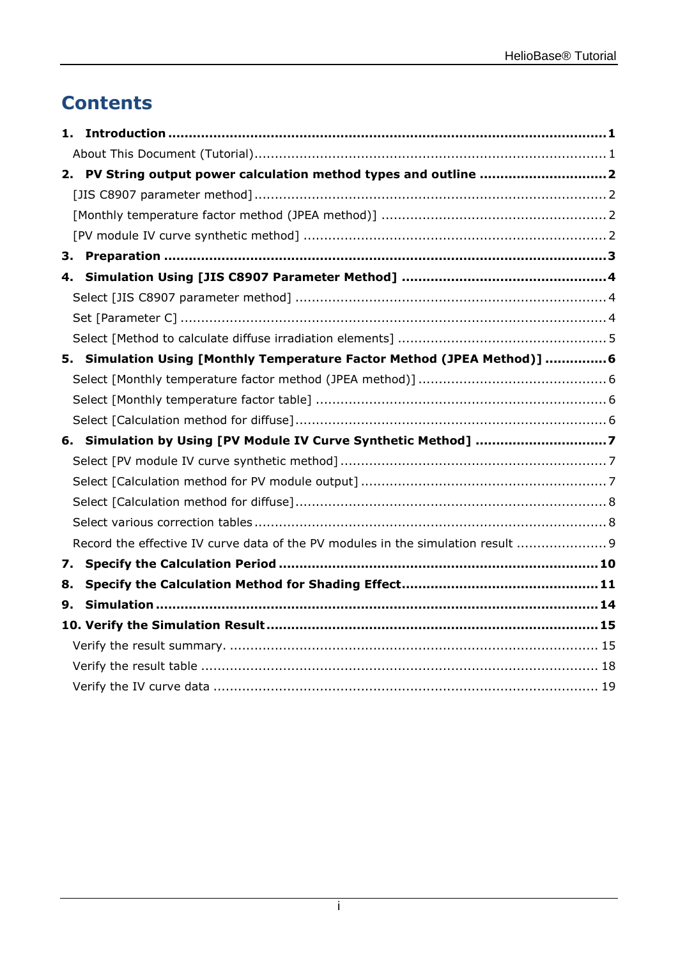# **Contents**

|    | 1.                                                                               |  |
|----|----------------------------------------------------------------------------------|--|
|    |                                                                                  |  |
|    | 2. PV String output power calculation method types and outline 2                 |  |
|    |                                                                                  |  |
|    |                                                                                  |  |
|    |                                                                                  |  |
| З. |                                                                                  |  |
|    | 4.                                                                               |  |
|    |                                                                                  |  |
|    |                                                                                  |  |
|    |                                                                                  |  |
|    | 5. Simulation Using [Monthly Temperature Factor Method (JPEA Method)]  6         |  |
|    |                                                                                  |  |
|    |                                                                                  |  |
|    |                                                                                  |  |
|    | 6. Simulation by Using [PV Module IV Curve Synthetic Method] 7                   |  |
|    |                                                                                  |  |
|    |                                                                                  |  |
|    |                                                                                  |  |
|    |                                                                                  |  |
|    | Record the effective IV curve data of the PV modules in the simulation result  9 |  |
| 7. |                                                                                  |  |
| 8. |                                                                                  |  |
| 9. |                                                                                  |  |
|    |                                                                                  |  |
|    |                                                                                  |  |
|    |                                                                                  |  |
|    |                                                                                  |  |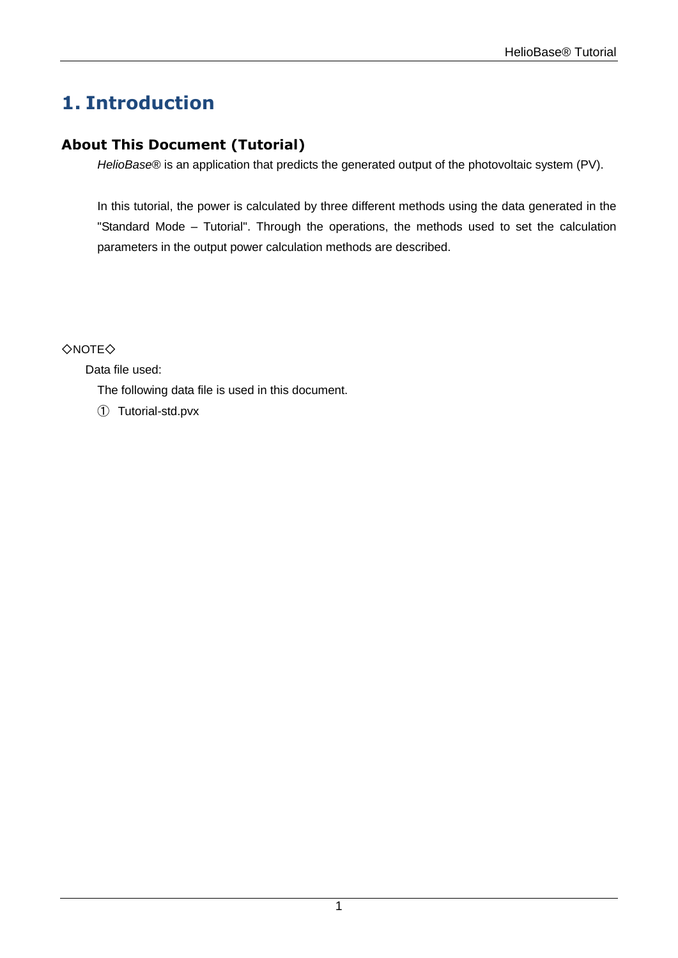# <span id="page-2-0"></span>**1. Introduction**

### <span id="page-2-1"></span>**About This Document (Tutorial)**

*HelioBase®* is an application that predicts the generated output of the photovoltaic system (PV).

In this tutorial, the power is calculated by three different methods using the data generated in the "Standard Mode – Tutorial". Through the operations, the methods used to set the calculation parameters in the output power calculation methods are described.

#### ◇NOTE◇

Data file used:

The following data file is used in this document.

① Tutorial-std.pvx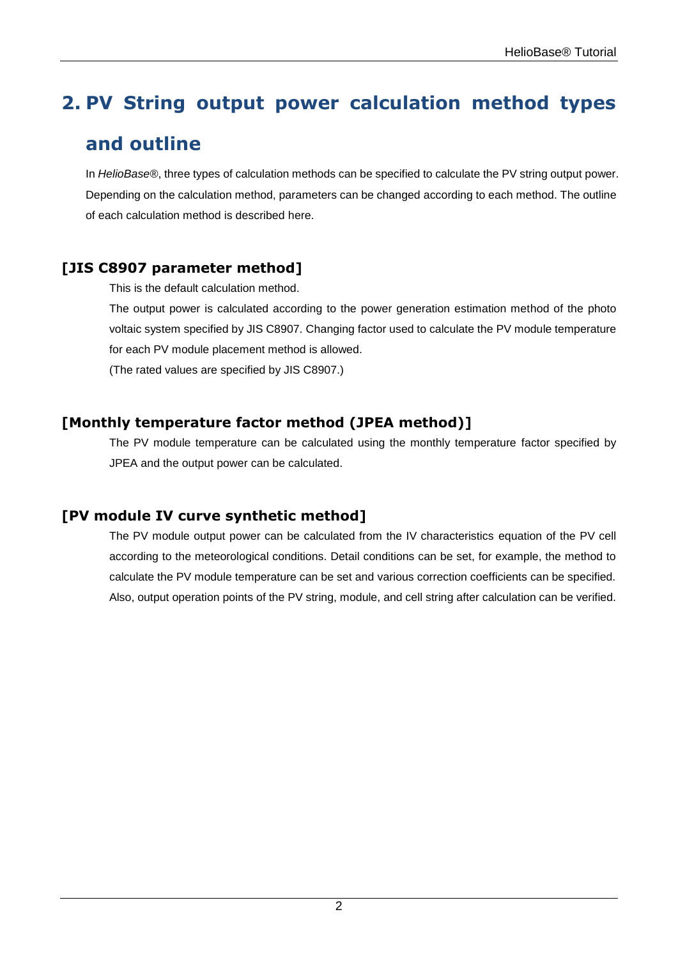# <span id="page-3-0"></span>**2. PV String output power calculation method types**

## **and outline**

In *HelioBase®*, three types of calculation methods can be specified to calculate the PV string output power. Depending on the calculation method, parameters can be changed according to each method. The outline of each calculation method is described here.

### <span id="page-3-1"></span>**[JIS C8907 parameter method]**

This is the default calculation method.

The output power is calculated according to the power generation estimation method of the photo voltaic system specified by JIS C8907. Changing factor used to calculate the PV module temperature for each PV module placement method is allowed.

(The rated values are specified by JIS C8907.)

### <span id="page-3-2"></span>**[Monthly temperature factor method (JPEA method)]**

The PV module temperature can be calculated using the monthly temperature factor specified by JPEA and the output power can be calculated.

### <span id="page-3-3"></span>**[PV module IV curve synthetic method]**

The PV module output power can be calculated from the IV characteristics equation of the PV cell according to the meteorological conditions. Detail conditions can be set, for example, the method to calculate the PV module temperature can be set and various correction coefficients can be specified. Also, output operation points of the PV string, module, and cell string after calculation can be verified.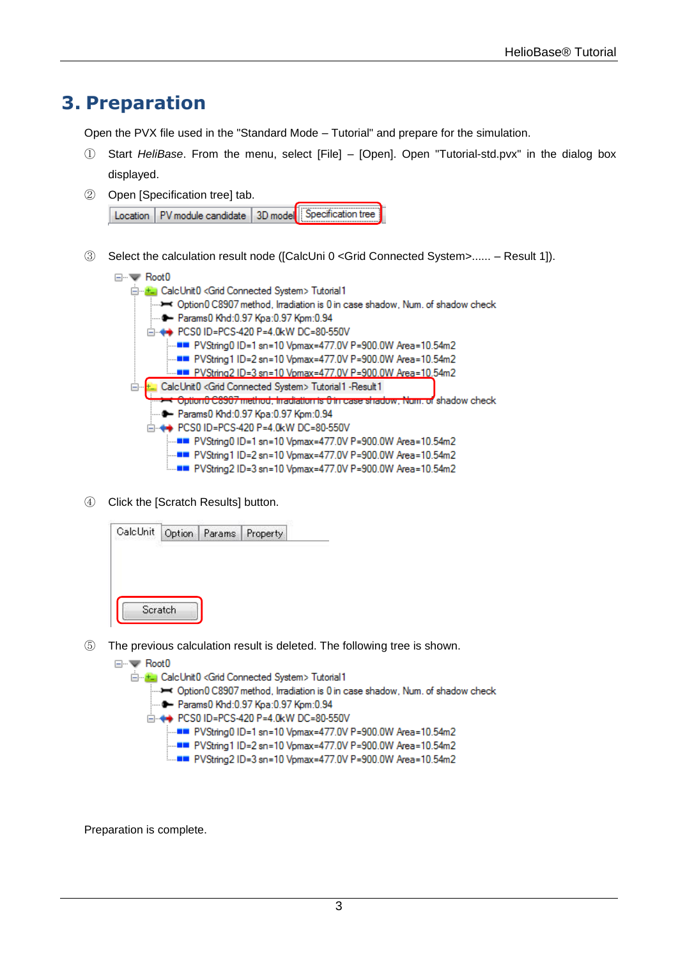## <span id="page-4-0"></span>**3. Preparation**

Open the PVX file used in the "Standard Mode – Tutorial" and prepare for the simulation.

- ① Start *HeliBase*. From the menu, select [File] [Open]. Open "Tutorial-std.pvx" in the dialog box displayed.
- ② Open [Specification tree] tab.

|  | Location   PV module candidate   3D model   Specification tree |  |
|--|----------------------------------------------------------------|--|

③ Select the calculation result node ([CalcUni 0 <Grid Connected System>...... – Result 1]).



④ Click the [Scratch Results] button.

- ⑤ The previous calculation result is deleted. The following tree is shown.
	- ⊟…www Root0 E-E- CalcUnit0 <Grid Connected System> Tutorial1 ........ Option0 C8907 method, Irradiation is 0 in case shadow, Num. of shadow check ---- Params0 Khd:0.97 Kpa:0.97 Kpm:0.94 -- PVString1 ID=2 sn=10 Vpmax=477.0V P=900.0W Area=10.54m2 i.....∎■ PVString2 ID=3 sn=10 Vpmax=477.0V P=900.0W Area=10.54m2

Preparation is complete.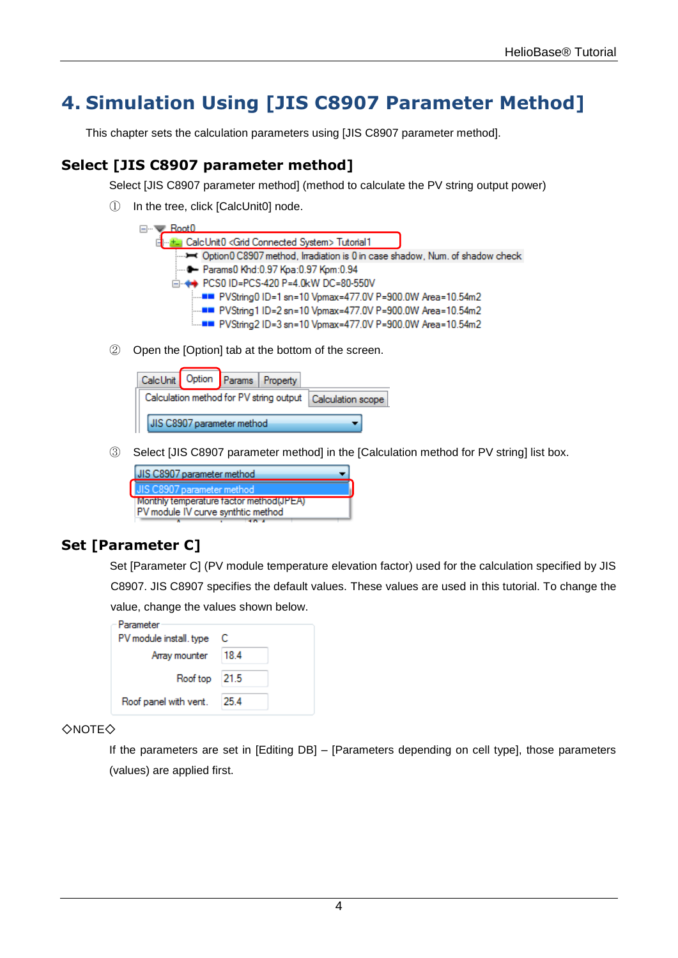## <span id="page-5-0"></span>**4. Simulation Using [JIS C8907 Parameter Method]**

This chapter sets the calculation parameters using [JIS C8907 parameter method].

### <span id="page-5-1"></span>**Select [JIS C8907 parameter method]**

Select [JIS C8907 parameter method] (method to calculate the PV string output power)

① In the tree, click [CalcUnit0] node.



② Open the [Option] tab at the bottom of the screen.



③ Select [JIS C8907 parameter method] in the [Calculation method for PV string] list box.



## <span id="page-5-2"></span>**Set [Parameter C]**

Set [Parameter C] (PV module temperature elevation factor) used for the calculation specified by JIS C8907. JIS C8907 specifies the default values. These values are used in this tutorial. To change the value, change the values shown below.

| Parameter               |      |
|-------------------------|------|
| PV module install, type | C    |
| Array mounter           | 18.4 |
| Roof top 21.5           |      |
| Roof panel with vent.   | 25.4 |

#### ◇NOTE◇

If the parameters are set in [Editing DB] – [Parameters depending on cell type], those parameters (values) are applied first.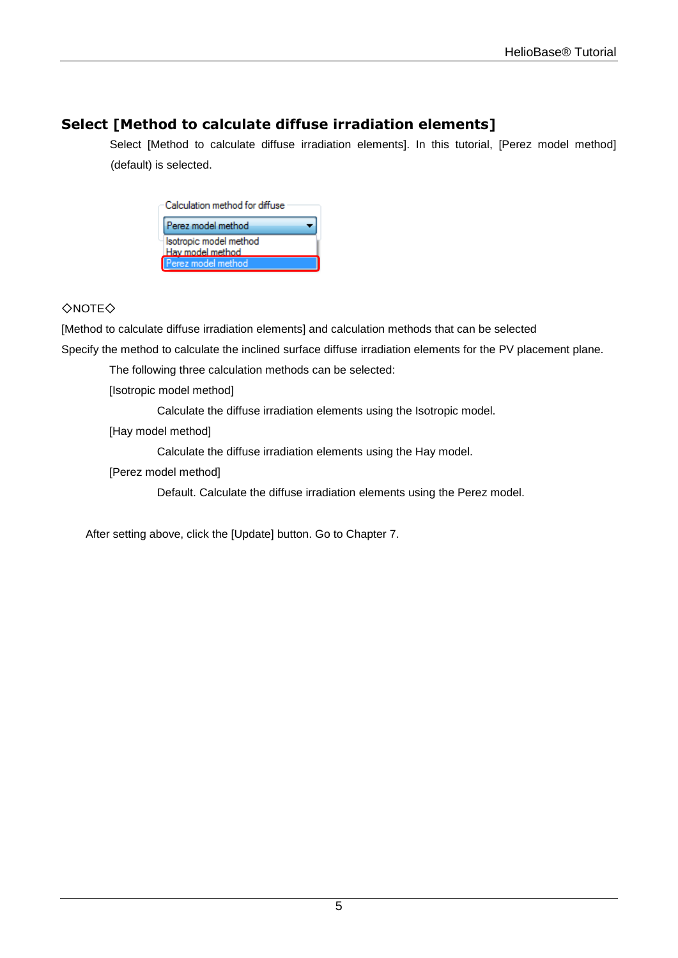### <span id="page-6-0"></span>**Select [Method to calculate diffuse irradiation elements]**

Select [Method to calculate diffuse irradiation elements]. In this tutorial, [Perez model method] (default) is selected.

| Calculation method for diffuse             |
|--------------------------------------------|
| Perez model method                         |
| Isotropic model method<br>Hav model method |
| Perez model method                         |

#### ◇NOTE◇

[Method to calculate diffuse irradiation elements] and calculation methods that can be selected

Specify the method to calculate the inclined surface diffuse irradiation elements for the PV placement plane.

The following three calculation methods can be selected:

[Isotropic model method]

Calculate the diffuse irradiation elements using the Isotropic model.

[Hay model method]

Calculate the diffuse irradiation elements using the Hay model.

[Perez model method]

Default. Calculate the diffuse irradiation elements using the Perez model.

After setting above, click the [Update] button. Go to Chapter 7.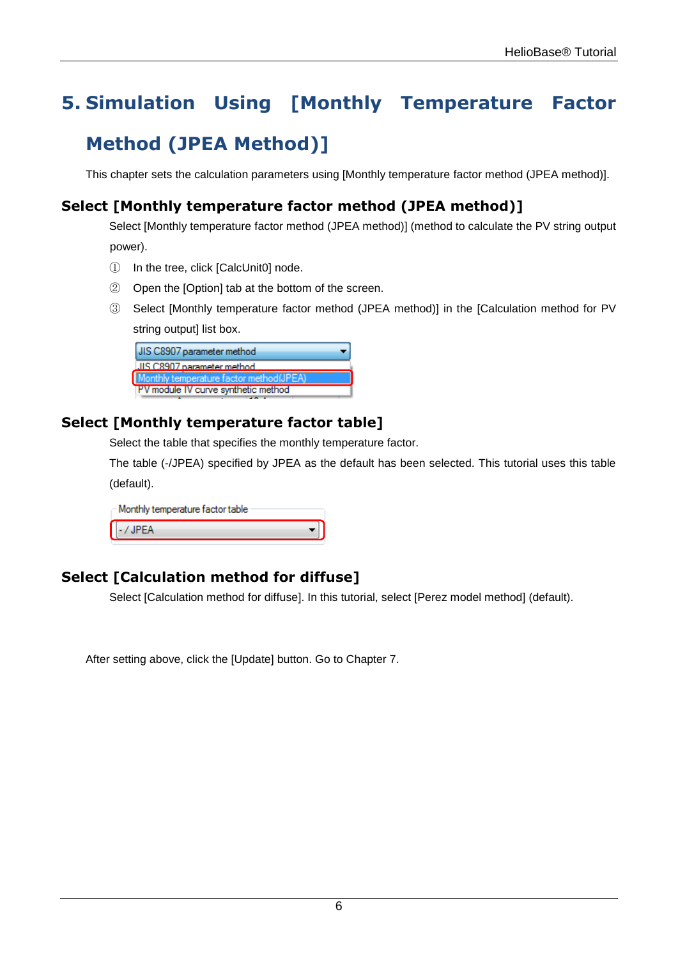# <span id="page-7-0"></span>**5. Simulation Using [Monthly Temperature Factor**

## **Method (JPEA Method)]**

This chapter sets the calculation parameters using [Monthly temperature factor method (JPEA method)].

### <span id="page-7-1"></span>**Select [Monthly temperature factor method (JPEA method)]**

Select [Monthly temperature factor method (JPEA method)] (method to calculate the PV string output power).

- ① In the tree, click [CalcUnit0] node.
- ② Open the [Option] tab at the bottom of the screen.
- ③ Select [Monthly temperature factor method (JPEA method)] in the [Calculation method for PV string output] list box.

| UIS C8907 parameter method                 |  |
|--------------------------------------------|--|
| LIIS C8907 parameter method.               |  |
| Monthly temperature factor method(JPEA)    |  |
| <b>PV</b> module IV curve synthetic method |  |

### <span id="page-7-2"></span>**Select [Monthly temperature factor table]**

Select the table that specifies the monthly temperature factor.

The table (-/JPEA) specified by JPEA as the default has been selected. This tutorial uses this table (default).

| - Monthly temperature factor table : |  |
|--------------------------------------|--|
| $\sim$ / JPEA                        |  |

### <span id="page-7-3"></span>**Select [Calculation method for diffuse]**

Select [Calculation method for diffuse]. In this tutorial, select [Perez model method] (default).

After setting above, click the [Update] button. Go to Chapter 7.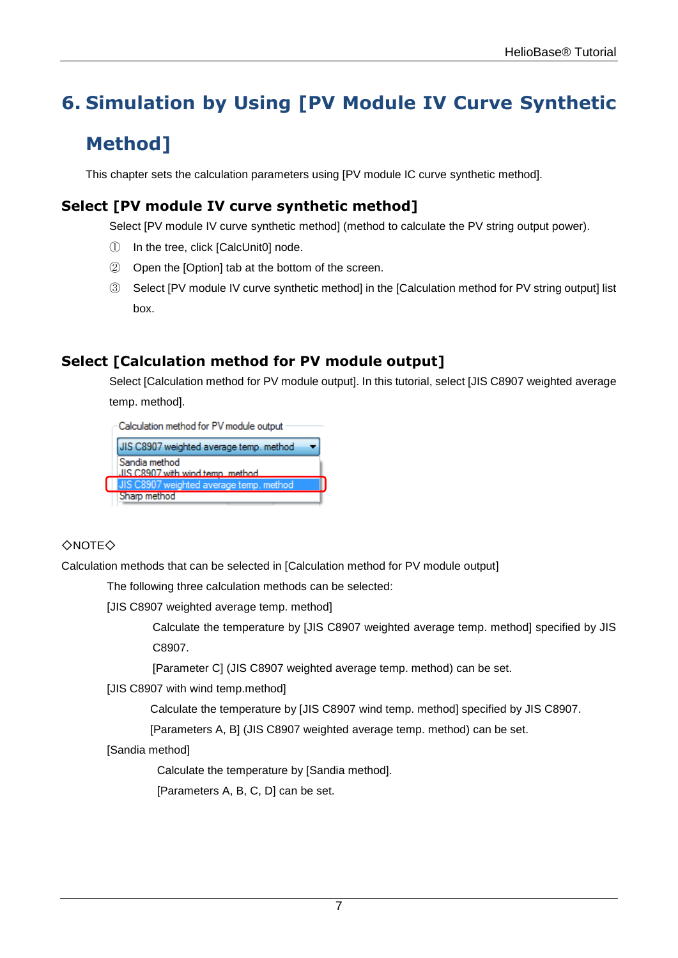# <span id="page-8-0"></span>**6. Simulation by Using [PV Module IV Curve Synthetic**

# **Method]**

This chapter sets the calculation parameters using [PV module IC curve synthetic method].

## <span id="page-8-1"></span>**Select [PV module IV curve synthetic method]**

Select [PV module IV curve synthetic method] (method to calculate the PV string output power).

- ① In the tree, click [CalcUnit0] node.
- ② Open the [Option] tab at the bottom of the screen.
- ③ Select [PV module IV curve synthetic method] in the [Calculation method for PV string output] list box.

### <span id="page-8-2"></span>**Select [Calculation method for PV module output]**

Select [Calculation method for PV module output]. In this tutorial, select [JIS C8907 weighted average temp. method].

Calculation method for PV module output JIS C8907 weighted average temp, method Sandia method JIS C8907 with wind temp\_method Sharp method

#### ◇NOTE◇

Calculation methods that can be selected in [Calculation method for PV module output]

The following three calculation methods can be selected:

[JIS C8907 weighted average temp. method]

Calculate the temperature by [JIS C8907 weighted average temp. method] specified by JIS C8907.

[Parameter C] (JIS C8907 weighted average temp. method) can be set.

[JIS C8907 with wind temp.method]

Calculate the temperature by [JIS C8907 wind temp. method] specified by JIS C8907.

[Parameters A, B] (JIS C8907 weighted average temp. method) can be set.

[Sandia method]

Calculate the temperature by [Sandia method].

[Parameters A, B, C, D] can be set.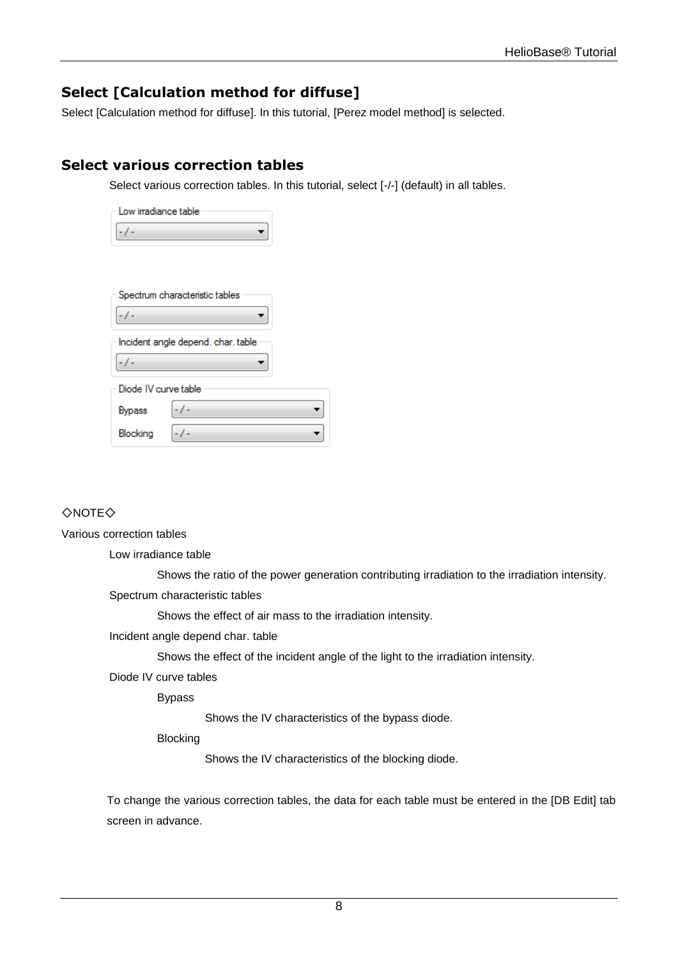### <span id="page-9-0"></span>**Select [Calculation method for diffuse]**

Select [Calculation method for diffuse]. In this tutorial, [Perez model method] is selected.

### <span id="page-9-1"></span>**Select various correction tables**

Select various correction tables. In this tutorial, select [-/-] (default) in all tables.

| Low irradiance table |                                    |
|----------------------|------------------------------------|
|                      |                                    |
|                      |                                    |
|                      |                                    |
|                      | Spectrum characteristic tables     |
|                      |                                    |
|                      | Incident angle depend. char. table |
|                      |                                    |
| Diode IV curve table |                                    |
| <b>Bypass</b>        |                                    |
| Blocking             |                                    |

◇NOTE◇

Various correction tables

Low irradiance table

Shows the ratio of the power generation contributing irradiation to the irradiation intensity. Spectrum characteristic tables

Shows the effect of air mass to the irradiation intensity.

Incident angle depend char. table

Shows the effect of the incident angle of the light to the irradiation intensity.

Diode IV curve tables

Bypass

Shows the IV characteristics of the bypass diode.

Blocking

Shows the IV characteristics of the blocking diode.

To change the various correction tables, the data for each table must be entered in the [DB Edit] tab screen in advance.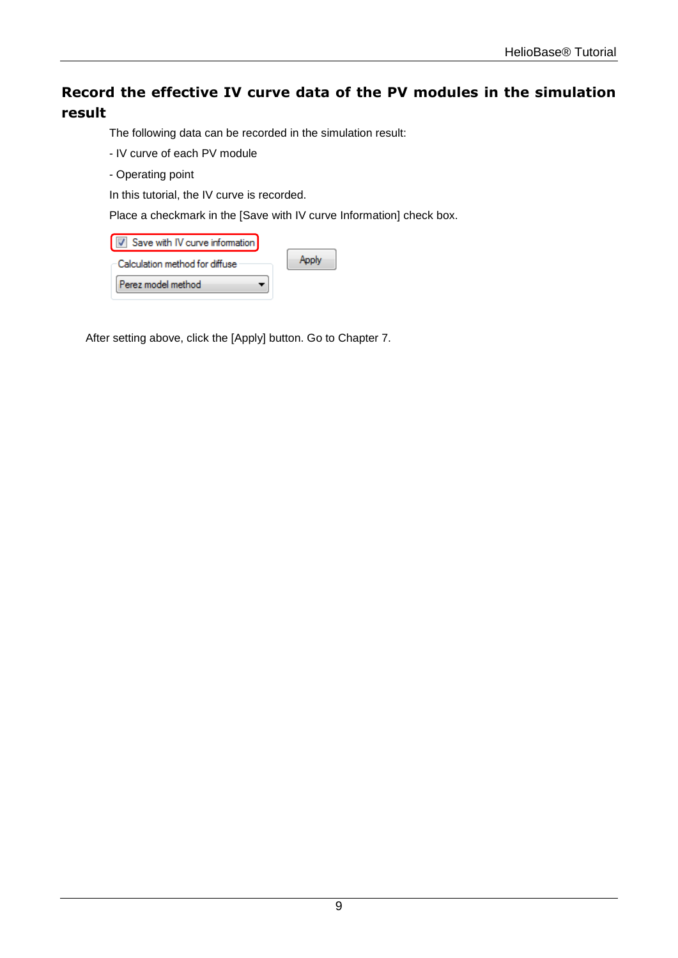## <span id="page-10-0"></span>**Record the effective IV curve data of the PV modules in the simulation result**

The following data can be recorded in the simulation result:

- IV curve of each PV module
- Operating point

In this tutorial, the IV curve is recorded.

Place a checkmark in the [Save with IV curve Information] check box.

| Save with IV curve information |  |
|--------------------------------|--|
| Calculation method for diffuse |  |
| Perez model method             |  |

After setting above, click the [Apply] button. Go to Chapter 7.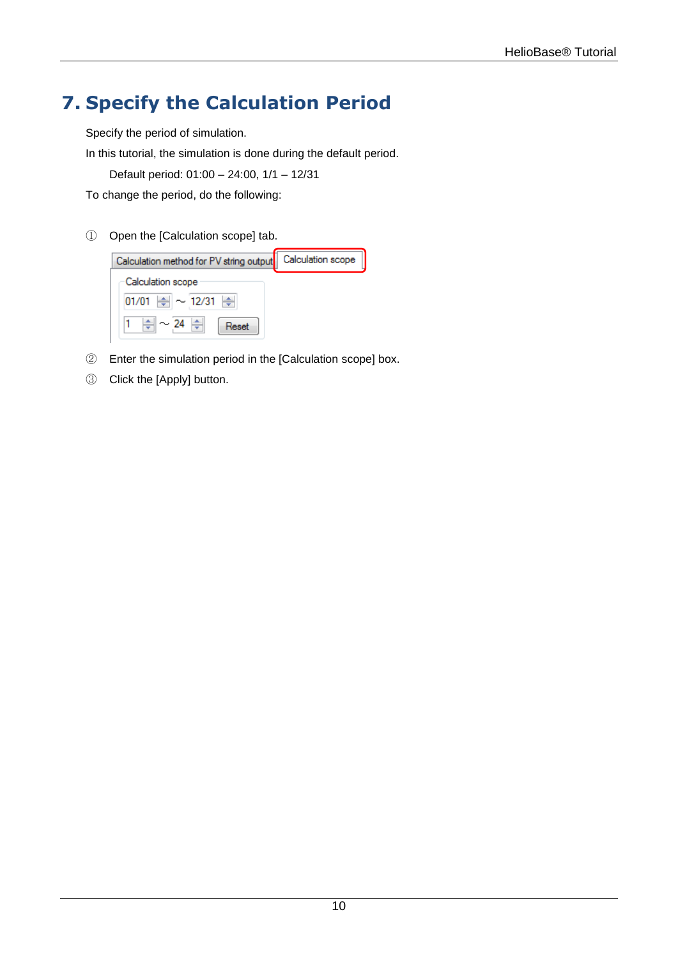# <span id="page-11-0"></span>**7. Specify the Calculation Period**

Specify the period of simulation.

In this tutorial, the simulation is done during the default period.

Default period: 01:00 – 24:00, 1/1 – 12/31

To change the period, do the following:

① Open the [Calculation scope] tab.



- ② Enter the simulation period in the [Calculation scope] box.
- ③ Click the [Apply] button.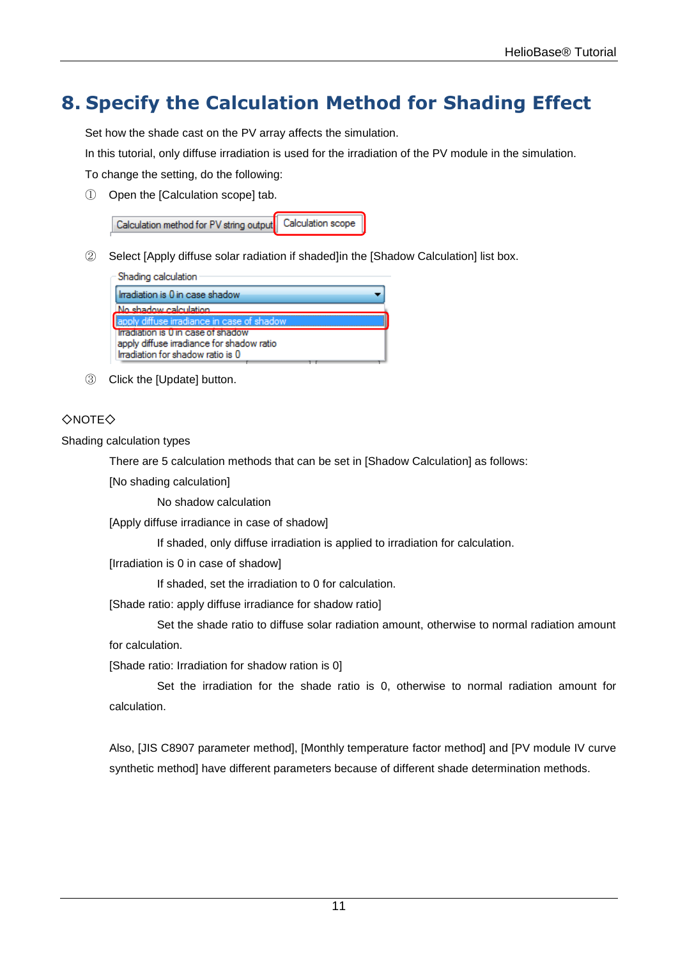# <span id="page-12-0"></span>**8. Specify the Calculation Method for Shading Effect**

Set how the shade cast on the PV array affects the simulation.

In this tutorial, only diffuse irradiation is used for the irradiation of the PV module in the simulation.

To change the setting, do the following:

① Open the [Calculation scope] tab.

| Calculation method for PV string output Calculation scope |  |
|-----------------------------------------------------------|--|
|-----------------------------------------------------------|--|

② Select [Apply diffuse solar radiation if shaded]in the [Shadow Calculation] list box.

| Shading calculation                        |
|--------------------------------------------|
| Limadiation is 0 in case shadow            |
| No shadow calculation                      |
| apply diffuse irradiance in case of shadow |
| Irradiation is U in case of shadow         |
| apply diffuse irradiance for shadow ratio  |
| Irradiation for shadow ratio is 0          |

③ Click the [Update] button.

#### ◇NOTE◇

Shading calculation types

There are 5 calculation methods that can be set in [Shadow Calculation] as follows:

[No shading calculation]

No shadow calculation

[Apply diffuse irradiance in case of shadow]

If shaded, only diffuse irradiation is applied to irradiation for calculation.

[Irradiation is 0 in case of shadow]

If shaded, set the irradiation to 0 for calculation.

[Shade ratio: apply diffuse irradiance for shadow ratio]

Set the shade ratio to diffuse solar radiation amount, otherwise to normal radiation amount for calculation.

[Shade ratio: Irradiation for shadow ration is 0]

Set the irradiation for the shade ratio is 0, otherwise to normal radiation amount for calculation.

Also, [JIS C8907 parameter method], [Monthly temperature factor method] and [PV module IV curve synthetic method] have different parameters because of different shade determination methods.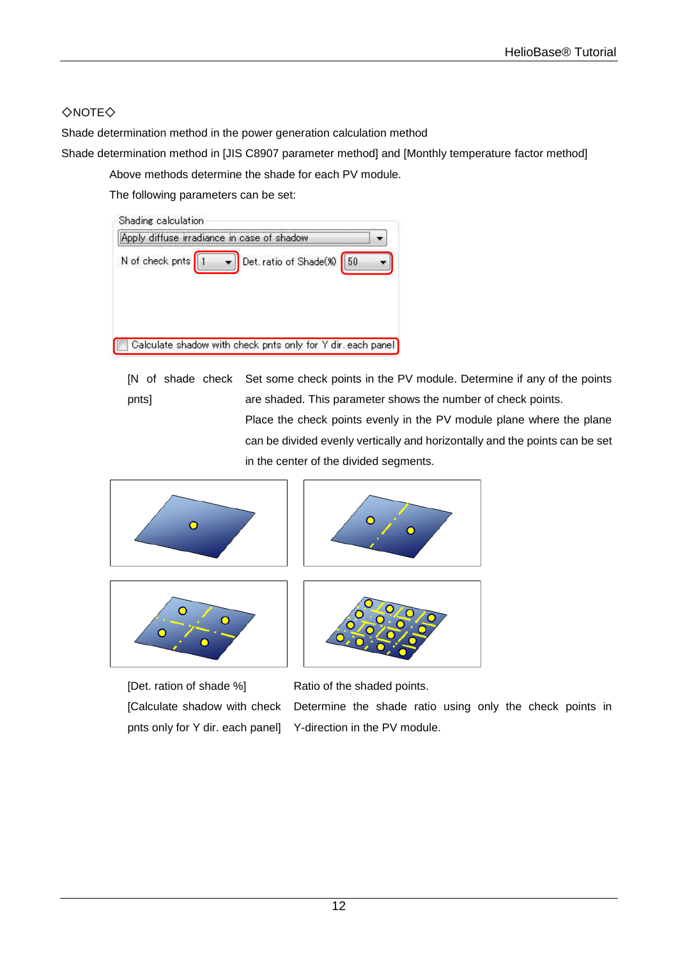### ◇NOTE◇

Shade determination method in the power generation calculation method

Shade determination method in [JIS C8907 parameter method] and [Monthly temperature factor method]

Above methods determine the shade for each PV module.

The following parameters can be set:



[N of shade check Set some check points in the PV module. Determine if any of the points pnts] are shaded. This parameter shows the number of check points. Place the check points evenly in the PV module plane where the plane can be divided evenly vertically and horizontally and the points can be set in the center of the divided segments.









[Det. ration of shade %] Ratio of the shaded points. [Calculate shadow with check pnts only for Y dir. each panel]

Determine the shade ratio using only the check points in Y-direction in the PV module.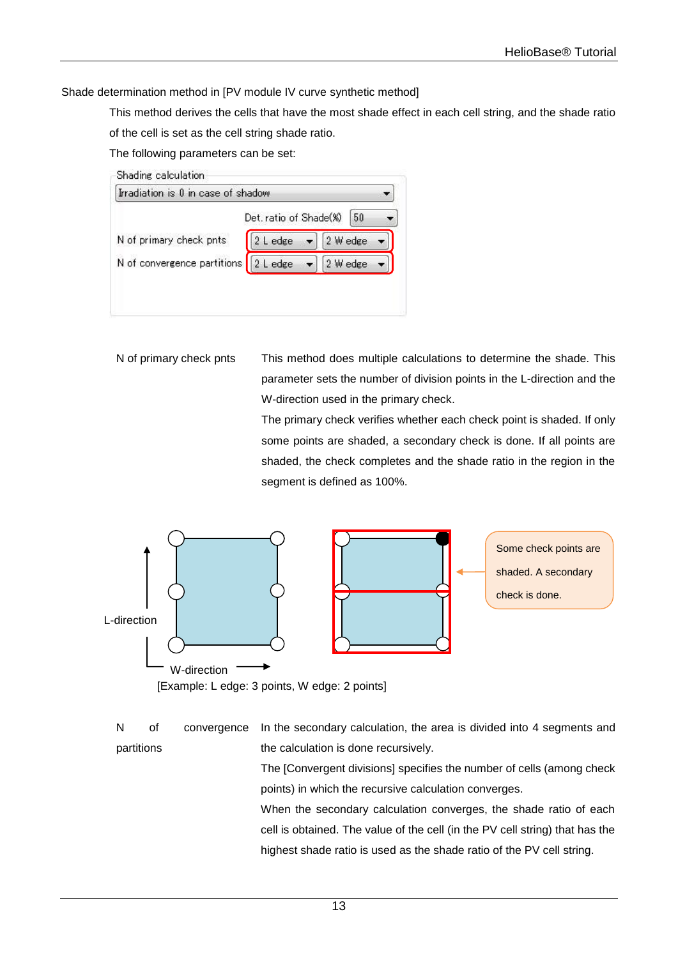Shade determination method in [PV module IV curve synthetic method]

This method derives the cells that have the most shade effect in each cell string, and the shade ratio of the cell is set as the cell string shade ratio.

The following parameters can be set:

| Irradiation is 0 in case of shadow     |                        |          |    |
|----------------------------------------|------------------------|----------|----|
|                                        | Det. ratio of Shade(%) |          | 50 |
| N of primary check pnts                | 2 L edge               | 2 W edge |    |
| N of convergence partitions   2 L edge |                        | 2 W edge |    |

N of primary check pnts This method does multiple calculations to determine the shade. This parameter sets the number of division points in the L-direction and the W-direction used in the primary check.

> The primary check verifies whether each check point is shaded. If only some points are shaded, a secondary check is done. If all points are shaded, the check completes and the shade ratio in the region in the segment is defined as 100%.



[Example: L edge: 3 points, W edge: 2 points]

N of convergence partitions In the secondary calculation, the area is divided into 4 segments and the calculation is done recursively.

> The [Convergent divisions] specifies the number of cells (among check points) in which the recursive calculation converges.

> When the secondary calculation converges, the shade ratio of each cell is obtained. The value of the cell (in the PV cell string) that has the highest shade ratio is used as the shade ratio of the PV cell string.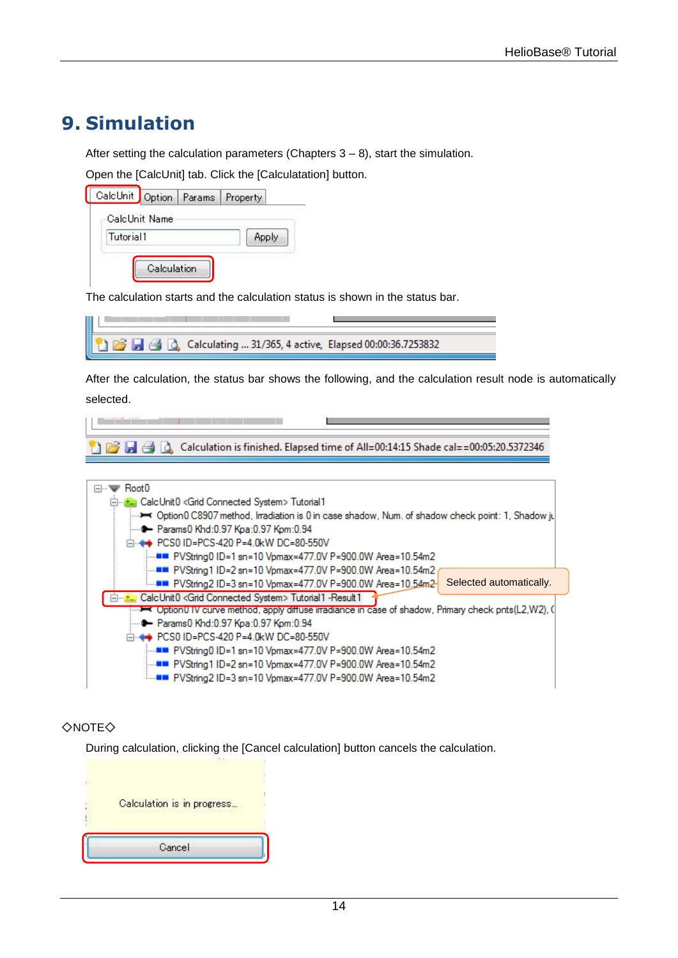# <span id="page-15-0"></span>**9. Simulation**

After setting the calculation parameters (Chapters 3 – 8), start the simulation.

Open the [CalcUnit] tab. Click the [Calculatation] button.

| Apply |
|-------|
|       |

The calculation starts and the calculation status is shown in the status bar.

| 4 2 Calculating  31/365, 4 active, Elapsed 00:00:36.7253832 |  |
|-------------------------------------------------------------|--|

After the calculation, the status bar shows the following, and the calculation result node is automatically selected.

r an an a <sup>8</sup> 尼日日公(Calculation is finished. Elapsed time of All=00:14:15 Shade cal==00:05:20.5372346

| Root <sub>0</sub><br>⊟…'                                                                            |
|-----------------------------------------------------------------------------------------------------|
|                                                                                                     |
| E E CalcUnit0 <grid connected="" system=""> Tutorial1</grid>                                        |
| Option0 C8907 method, Irradiation is 0 in case shadow, Num. of shadow check point: 1, Shadow ju → ^ |
| i… ➡ Params0 Khd:0.97 Kpa:0.97 Kpm:0.94                                                             |
| i⊟ (→ PCS0 ID=PCS-420 P=4.0kW DC=80-550V                                                            |
| :……■■ PVString0 ID=1 sn=10 Vpmax=477.0V P=900.0W Area=10.54m2                                       |
| :……■■ PVString1 ID=2 sn=10 Vpmax=477.0V P=900.0W Area=10.54m2                                       |
| Selected automatically.<br>i■■ PVString2 ID=3 sn=10 Vpmax=477.0V P=900.0W Area=10.54m2              |
| CalcUnit0 <grid connected="" system=""> Tutorial1 -Result1</grid>                                   |
|                                                                                                     |
| — → Params0 Khd:0.97 Kpa:0.97 Kpm:0.94                                                              |
| i⊟ (+ PCS0 ID=PCS-420 P=4.0kW DC=80-550V                                                            |
| :■■ PVString0 ID=1 sn=10 Vpmax=477.0V P=900.0W Area=10.54m2                                         |
| ■■ PVString1 ID=2 sn=10 Vpmax=477.0V P=900.0W Area=10.54m2                                          |
| -■■ PVString2 ID=3 sn=10 Vpmax=477.0V P=900.0W Area=10.54m2                                         |
|                                                                                                     |

#### ◇NOTE◇

During calculation, clicking the [Cancel calculation] button cancels the calculation.

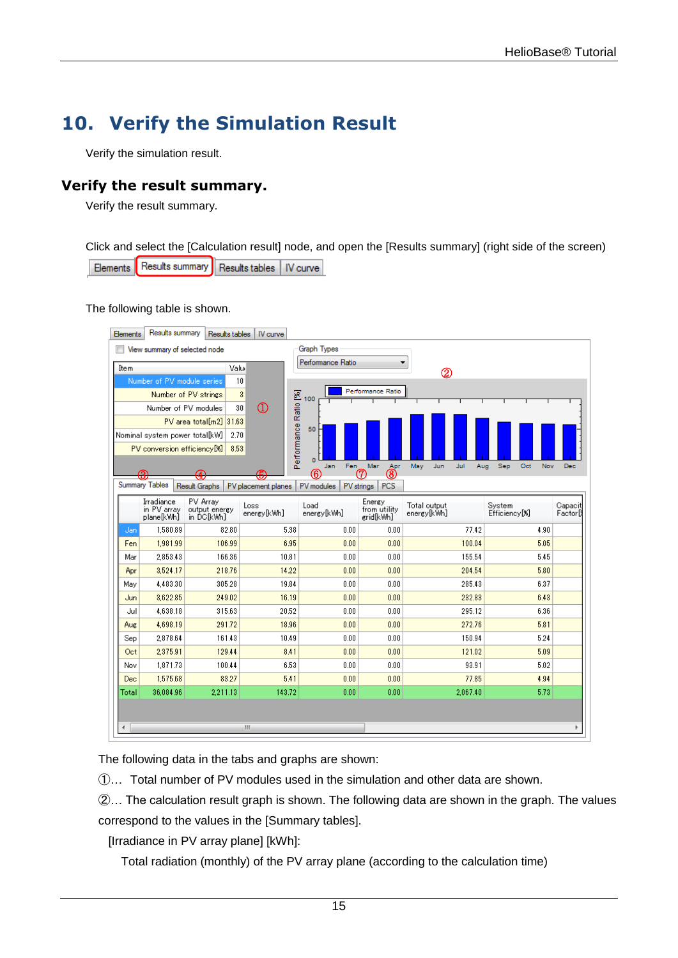# <span id="page-16-0"></span>**10. Verify the Simulation Result**

Verify the simulation result.

### <span id="page-16-1"></span>**Verify the result summary.**

Verify the result summary.

Click and select the [Calculation result] node, and open the [Results summary] (right side of the screen) Results summary Results tables | IV curve Elements

The following table is shown.

| Elements | Results summary                          |               | Results tables                          | IV curve            |                        |                                     |                             |            |                                     |      |                                   |
|----------|------------------------------------------|---------------|-----------------------------------------|---------------------|------------------------|-------------------------------------|-----------------------------|------------|-------------------------------------|------|-----------------------------------|
|          | View summary of selected node            |               |                                         |                     | Graph Types            |                                     |                             |            |                                     |      |                                   |
| Item     |                                          |               | Valu                                    |                     | Performance Ratio      |                                     | ▼                           |            |                                     |      |                                   |
|          | Number of PV module series               |               | 10                                      |                     |                        |                                     | $^\circledR$                |            |                                     |      |                                   |
|          | Number of PV strings                     |               | $\overline{3}$                          |                     |                        | Performance Ratio                   |                             |            |                                     |      |                                   |
|          | Number of PV modules                     |               | 30                                      | $\Omega$            | 100                    |                                     |                             |            |                                     |      |                                   |
|          |                                          |               | PV area total[m2] 31.63                 |                     |                        |                                     |                             |            |                                     |      |                                   |
|          | Nominal system power total[kW]           |               | 2.70                                    |                     | 50                     |                                     |                             |            |                                     |      |                                   |
|          | PV conversion efficiency[%]              |               | 8.53                                    |                     | Performance Ratio [%]  |                                     |                             |            |                                     |      |                                   |
|          |                                          |               |                                         |                     | $\Omega$<br>Fen<br>Jan | Mar<br>Apr                          | May<br>Jun                  | Jul<br>Aug | Sep<br>Oct                          | Nov  | Dec                               |
|          | ൙                                        |               |                                         |                     | (6)                    | (8)<br>7                            |                             |            |                                     |      |                                   |
|          | <b>Summary Tables</b>                    | Result Graphs |                                         | PV placement planes | PV modules             | PV strings<br><b>PCS</b>            |                             |            |                                     |      |                                   |
|          | Irradiance<br>in PV arrav<br>plane[k\\h] |               | PV Array<br>output energy<br>in DC[kWh] | Loss<br>energy[kWh] | Load<br>energy[kWh]    | Energy<br>from utility<br>grid[kWn] | Total output<br>energy[kwh] |            | System<br>Efficiency <sup>[%]</sup> |      | Capacit<br>Factor <sup>[9</sup> ] |
| Jan      | 1,580.89                                 |               | 82.80                                   | 5.38                | 0.00                   | 0.00                                |                             | 77.42      |                                     | 4.90 |                                   |
| Fen      | 1,981.99                                 |               | 106.99                                  | 6.95                | 0.00                   | 0.00                                |                             | 100.04     |                                     | 5.05 |                                   |
| Mar      | 2,853.43                                 |               | 166.36                                  | 10.81               | 0.00                   | 0.00                                |                             | 155.54     |                                     | 5.45 |                                   |
| Apr      | 3,524.17                                 |               | 218.76                                  | 14.22               | 0.00                   | 0.00                                |                             | 204.54     |                                     | 5.80 |                                   |
| May      | 4,483.30                                 |               | 305.28                                  | 19.84               | 0.00                   | 0.00                                |                             | 285.43     |                                     | 6.37 |                                   |
| Jun      | 3,622.85                                 |               | 249.02                                  | 16.19               | 0.00                   | 0.00                                |                             | 232.83     |                                     | 6.43 |                                   |
| Jul      | 4.638.18                                 |               | 315.63                                  | 20.52               | 0.00                   | 0.00                                |                             | 295.12     |                                     | 6.36 |                                   |
| Aug      | 4,698.19                                 |               | 291.72                                  | 18.96               | 0.00                   | 0.00                                |                             | 272.76     |                                     | 5.81 |                                   |
| Sep      | 2,878.64                                 |               | 161.43                                  | 10.49               | 0.00                   | 0.00                                |                             | 150.94     |                                     | 5.24 |                                   |
| Oct      | 2,375.91                                 |               | 129.44                                  | 8.41                | 0.00                   | 0.00                                |                             | 121.02     |                                     | 5.09 |                                   |
| Nov      | 1,871.73                                 |               | 100.44                                  | 6.53                | 0.00                   | 0.00                                |                             | 93.91      |                                     | 5.02 |                                   |
| Dec      | 1,575.68                                 |               | 83.27                                   | 5.41                | 0.00                   | 0.00                                |                             | 77.85      |                                     | 4.94 |                                   |
| Total    | 36,084.96                                |               | 2,211.13                                | 143.72              | 0.00                   | 0.00                                |                             | 2,067.40   |                                     | 5.73 |                                   |
|          |                                          |               |                                         |                     |                        |                                     |                             |            |                                     |      |                                   |
| ∢        |                                          |               |                                         | Ш                   |                        |                                     |                             |            |                                     |      |                                   |
|          |                                          |               |                                         |                     |                        |                                     |                             |            |                                     |      |                                   |

The following data in the tabs and graphs are shown:

①… Total number of PV modules used in the simulation and other data are shown.

②… The calculation result graph is shown. The following data are shown in the graph. The values correspond to the values in the [Summary tables].

[Irradiance in PV array plane] [kWh]:

Total radiation (monthly) of the PV array plane (according to the calculation time)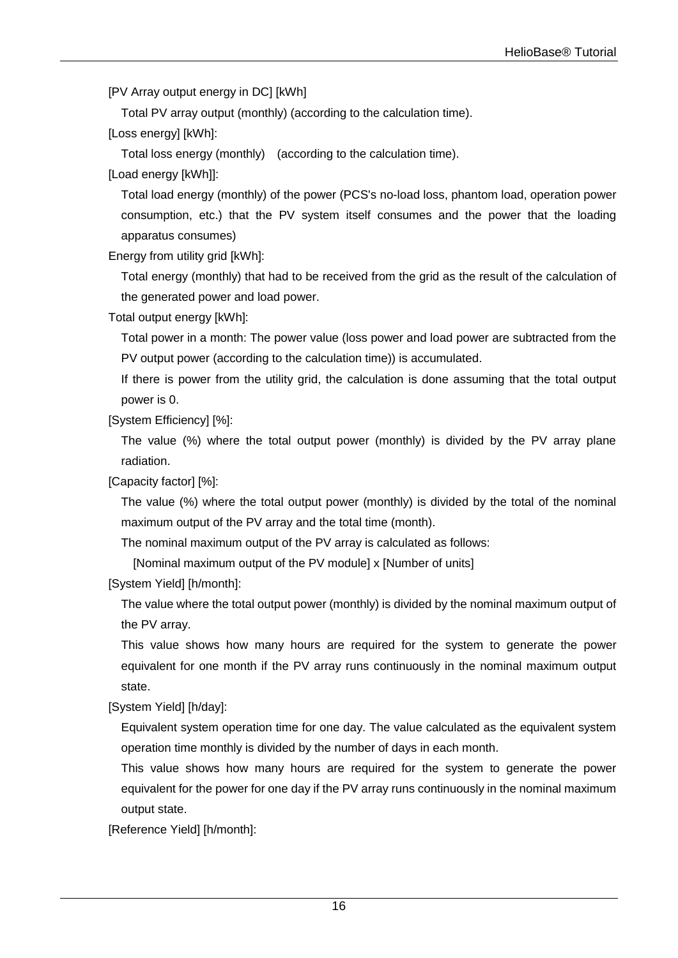[PV Array output energy in DC] [kWh]

Total PV array output (monthly) (according to the calculation time).

[Loss energy] [kWh]:

Total loss energy (monthly) (according to the calculation time).

[Load energy [kWh]]:

Total load energy (monthly) of the power (PCS's no-load loss, phantom load, operation power consumption, etc.) that the PV system itself consumes and the power that the loading apparatus consumes)

Energy from utility grid [kWh]:

Total energy (monthly) that had to be received from the grid as the result of the calculation of the generated power and load power.

Total output energy [kWh]:

Total power in a month: The power value (loss power and load power are subtracted from the PV output power (according to the calculation time)) is accumulated.

If there is power from the utility grid, the calculation is done assuming that the total output power is 0.

[System Efficiency] [%]:

The value (%) where the total output power (monthly) is divided by the PV array plane radiation.

[Capacity factor] [%]:

The value (%) where the total output power (monthly) is divided by the total of the nominal maximum output of the PV array and the total time (month).

The nominal maximum output of the PV array is calculated as follows:

[Nominal maximum output of the PV module] x [Number of units]

[System Yield] [h/month]:

The value where the total output power (monthly) is divided by the nominal maximum output of the PV array.

This value shows how many hours are required for the system to generate the power equivalent for one month if the PV array runs continuously in the nominal maximum output state.

[System Yield] [h/day]:

Equivalent system operation time for one day. The value calculated as the equivalent system operation time monthly is divided by the number of days in each month.

This value shows how many hours are required for the system to generate the power equivalent for the power for one day if the PV array runs continuously in the nominal maximum output state.

[Reference Yield] [h/month]: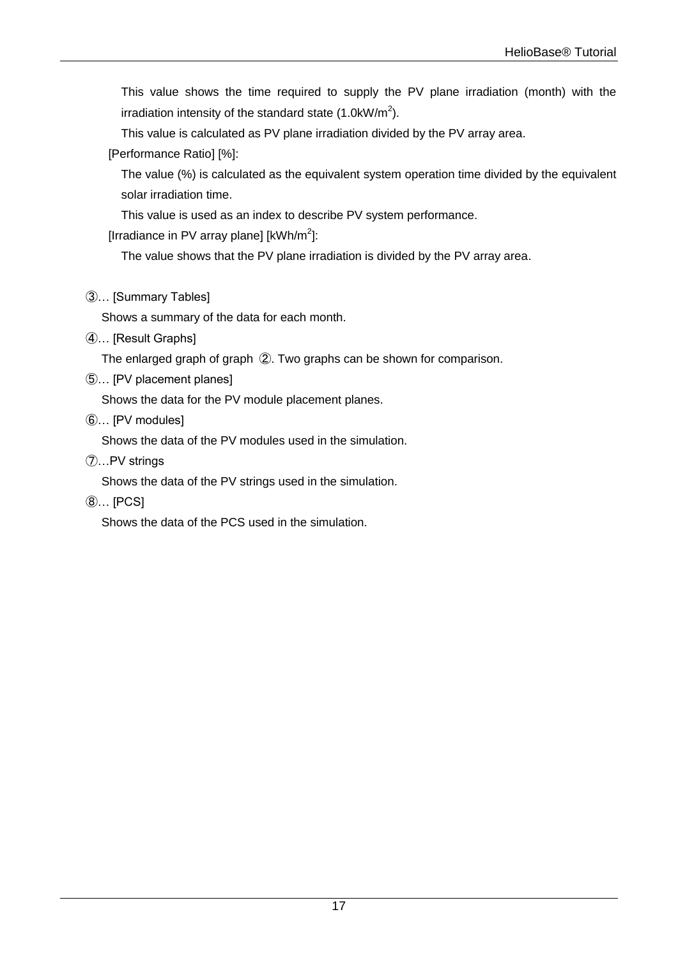This value shows the time required to supply the PV plane irradiation (month) with the irradiation intensity of the standard state (1.0kW/m<sup>2</sup>).

This value is calculated as PV plane irradiation divided by the PV array area.

[Performance Ratio] [%]:

The value (%) is calculated as the equivalent system operation time divided by the equivalent solar irradiation time.

This value is used as an index to describe PV system performance.

[Irradiance in PV array plane] [kWh/m<sup>2</sup>]:

The value shows that the PV plane irradiation is divided by the PV array area.

③… [Summary Tables]

Shows a summary of the data for each month.

④… [Result Graphs]

The enlarged graph of graph ②. Two graphs can be shown for comparison.

⑤… [PV placement planes]

Shows the data for the PV module placement planes.

⑥… [PV modules]

Shows the data of the PV modules used in the simulation.

⑦…PV strings

Shows the data of the PV strings used in the simulation.

⑧… [PCS]

Shows the data of the PCS used in the simulation.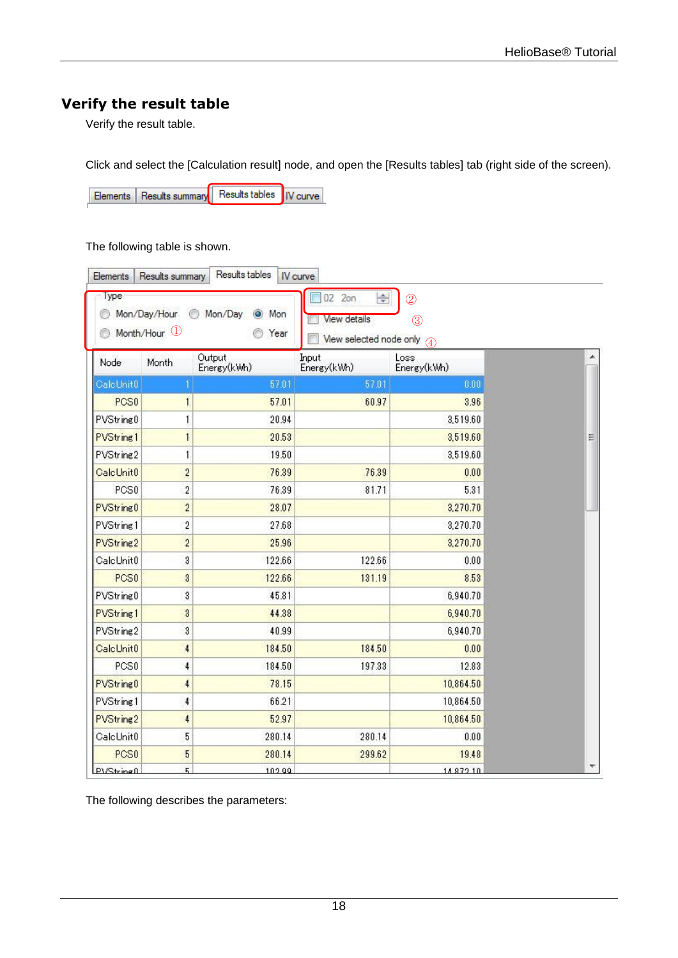### <span id="page-19-0"></span>**Verify the result table**

Verify the result table.

Click and select the [Calculation result] node, and open the [Results tables] tab (right side of the screen).

Results tables | IV curve Elements | Results summary

The following table is shown.

| Elements                            | Results summary                         | Results tables                | IV curve                                                      |                                                                |   |
|-------------------------------------|-----------------------------------------|-------------------------------|---------------------------------------------------------------|----------------------------------------------------------------|---|
| Type<br>0<br>61                     | Mon/Day/Hour<br>Month/Hour <sup>1</sup> | Mon/Day<br>O Mon<br>0<br>Year | 02 2on<br>≑<br><b>View details</b><br>View selected node only | $\overline{2}$<br>$\circled{3}$<br>$\left( \widehat{4}\right)$ |   |
| Node                                | Month                                   | Output<br>Energy(kWh)         | Input<br>Energy(kWh)                                          | Loss<br>Energy(kWh)                                            |   |
| CalcUnit0                           |                                         | 57.01                         | 57.01                                                         | 0.00                                                           |   |
| PCS <sub>0</sub>                    | $\mathbf{1}$                            | 57.01                         | 60.97                                                         | 3.96                                                           |   |
| PVString0                           | 1                                       | 20.94                         |                                                               | 3,519.60                                                       |   |
| <b>PVString1</b>                    | $\mathbf{1}$                            | 20.53                         |                                                               | 3,519.60                                                       | Ξ |
| PVString2                           | $\mathbf{1}$                            | 19.50                         |                                                               | 3,519.60                                                       |   |
| CalcUnit0                           | $\overline{c}$                          | 76.39                         | 76.39                                                         | 0.00                                                           |   |
| PCS <sub>0</sub>                    | $\overline{\mathbf{c}}$                 | 76.39                         | 81.71                                                         | 5.31                                                           |   |
| PVString0                           | $\overline{c}$                          | 28.07                         |                                                               | 3,270.70                                                       |   |
| PVString1                           | $\overline{\mathbf{c}}$                 | 27.68                         |                                                               | 3,270.70                                                       |   |
| PVString2                           | $\overline{c}$                          | 25.96                         |                                                               | 3,270.70                                                       |   |
| CalcUnit0                           | 3                                       | 122.66                        | 122.66                                                        | 0.00                                                           |   |
| PCS <sub>0</sub>                    | $\overline{\mathbf{3}}$                 | 122.66                        | 131.19                                                        | 8.53                                                           |   |
| PVString0                           | 3                                       | 45.81                         |                                                               | 6,940.70                                                       |   |
| PVString1                           | 3                                       | 44.38                         |                                                               | 6,940.70                                                       |   |
| PVString2                           | $\boldsymbol{3}$                        | 40.99                         |                                                               | 6,940.70                                                       |   |
| CalcUnit0                           | 4                                       | 184.50                        | 184.50                                                        | 0.00                                                           |   |
| PCS <sub>0</sub>                    | 4                                       | 184.50                        | 197.33                                                        | 12.83                                                          |   |
| PVString <sub>0</sub>               | 4                                       | 78.15                         |                                                               | 10,864.50                                                      |   |
| PVString1                           | 4                                       | 66.21                         |                                                               | 10,864.50                                                      |   |
| PVString2                           | $\ddot{\phantom{1}}$                    | 52.97                         |                                                               | 10,864.50                                                      |   |
| CalcUnit0                           | 5                                       | 280.14                        | 280.14                                                        | 0.00                                                           |   |
| PCS <sub>0</sub>                    | $\overline{5}$                          | 280.14                        | 299.62                                                        | 19.48                                                          |   |
| $P \setminus \mathcal{S}$ tring $0$ | 5.                                      | 102.00                        |                                                               | 14 8 72 10                                                     |   |

The following describes the parameters: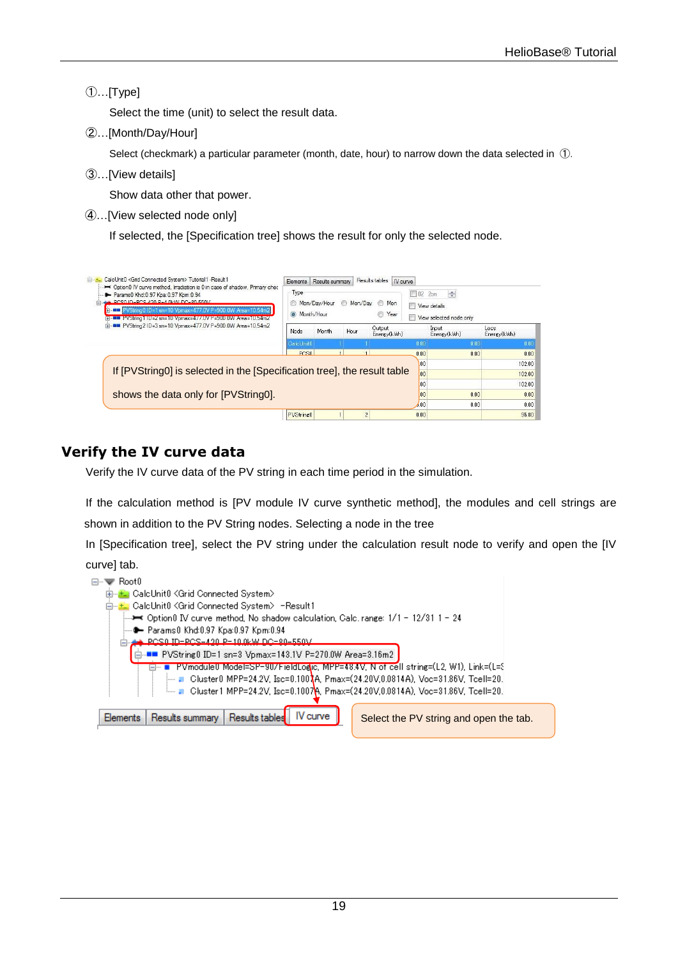#### ①…[Type]

Select the time (unit) to select the result data.

②…[Month/Day/Hour]

Select (checkmark) a particular parameter (month, date, hour) to narrow down the data selected in ①.

③…[View details]

Show data other that power.

④…[View selected node only]

If selected, the [Specification tree] shows the result for only the selected node.

| CalcUnit0 <grid connected="" system=""> Tutorial1 -Result1<br/>Detion D IV curve method, Irradiation is 0 in case of shadow, Primary check-<br/>Params0 Khd:0.97 Kpa:0.97 Kpm:0.94<br/>PCS0.ID=PCS420 P=4.0kW.DC=80-550V<br/>PVString0 ID=1 sn=10 Vpmax=477.0V P=900.0W Area=10.54m2<br/>Elman BP V String HID=2 sn=10 Vomax=4 / / UV P =900 TOW Area =10.54m2</grid> |                       | Mon/Dav/Hour<br>Month/Hour | Mon/Day | IV curve<br>⊚<br>Mon<br>€<br>Year | $\Box$ 02<br>四 | $\Rightarrow$<br>2on<br>View details<br>View selected node only |                     |
|-----------------------------------------------------------------------------------------------------------------------------------------------------------------------------------------------------------------------------------------------------------------------------------------------------------------------------------------------------------------------|-----------------------|----------------------------|---------|-----------------------------------|----------------|-----------------------------------------------------------------|---------------------|
| (a)  III PVString2 ID=3 sn=10 Vpmax=477.0V P=900.0W Area=10.54m2                                                                                                                                                                                                                                                                                                      | Node                  | Month                      | Hour    | Output<br>Energy(kWh)             |                | Input<br>Energy(kWn)                                            | esol<br>Energy(kWn) |
|                                                                                                                                                                                                                                                                                                                                                                       | CalcUnit <sub>0</sub> |                            |         |                                   | 0.00           | 0.00                                                            | 0.00                |
|                                                                                                                                                                                                                                                                                                                                                                       | PCSB                  |                            |         |                                   | 0.00           | 0.00                                                            | 0.00                |
|                                                                                                                                                                                                                                                                                                                                                                       |                       |                            |         |                                   |                |                                                                 |                     |
|                                                                                                                                                                                                                                                                                                                                                                       |                       |                            |         |                                   | 00             |                                                                 |                     |
| If [PVString0] is selected in the [Specification tree], the result table                                                                                                                                                                                                                                                                                              |                       |                            |         |                                   | 00             |                                                                 | 102.00<br>102.00    |
|                                                                                                                                                                                                                                                                                                                                                                       |                       |                            |         |                                   | 00             |                                                                 |                     |
|                                                                                                                                                                                                                                                                                                                                                                       |                       |                            |         |                                   | 00             | 0.00                                                            | 102.00<br>0.00      |
| shows the data only for [PVString0].                                                                                                                                                                                                                                                                                                                                  |                       |                            |         |                                   | .00            | 0.00                                                            | 0.00                |

### <span id="page-20-0"></span>**Verify the IV curve data**

Verify the IV curve data of the PV string in each time period in the simulation.

If the calculation method is [PV module IV curve synthetic method], the modules and cell strings are shown in addition to the PV String nodes. Selecting a node in the tree

In [Specification tree], select the PV string under the calculation result node to verify and open the [IV curve] tab.